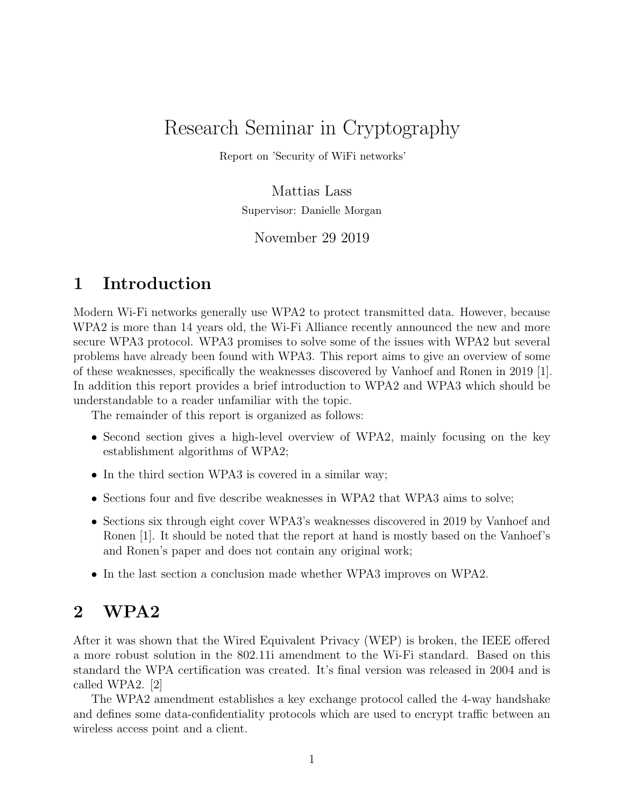# Research Seminar in Cryptography

Report on 'Security of WiFi networks'

Mattias Lass Supervisor: Danielle Morgan

November 29 2019

# 1 Introduction

Modern Wi-Fi networks generally use WPA2 to protect transmitted data. However, because WPA2 is more than 14 years old, the Wi-Fi Alliance recently announced the new and more secure WPA3 protocol. WPA3 promises to solve some of the issues with WPA2 but several problems have already been found with WPA3. This report aims to give an overview of some of these weaknesses, specifically the weaknesses discovered by Vanhoef and Ronen in 2019 [1]. In addition this report provides a brief introduction to WPA2 and WPA3 which should be understandable to a reader unfamiliar with the topic.

The remainder of this report is organized as follows:

- Second section gives a high-level overview of WPA2, mainly focusing on the key establishment algorithms of WPA2;
- In the third section WPA3 is covered in a similar way;
- Sections four and five describe weaknesses in WPA2 that WPA3 aims to solve;
- Sections six through eight cover WPA3's weaknesses discovered in 2019 by Vanhoef and Ronen [1]. It should be noted that the report at hand is mostly based on the Vanhoef's and Ronen's paper and does not contain any original work;
- In the last section a conclusion made whether WPA3 improves on WPA2.

# 2 WPA2

After it was shown that the Wired Equivalent Privacy (WEP) is broken, the IEEE offered a more robust solution in the 802.11i amendment to the Wi-Fi standard. Based on this standard the WPA certification was created. It's final version was released in 2004 and is called WPA2. [2]

The WPA2 amendment establishes a key exchange protocol called the 4-way handshake and defines some data-confidentiality protocols which are used to encrypt traffic between an wireless access point and a client.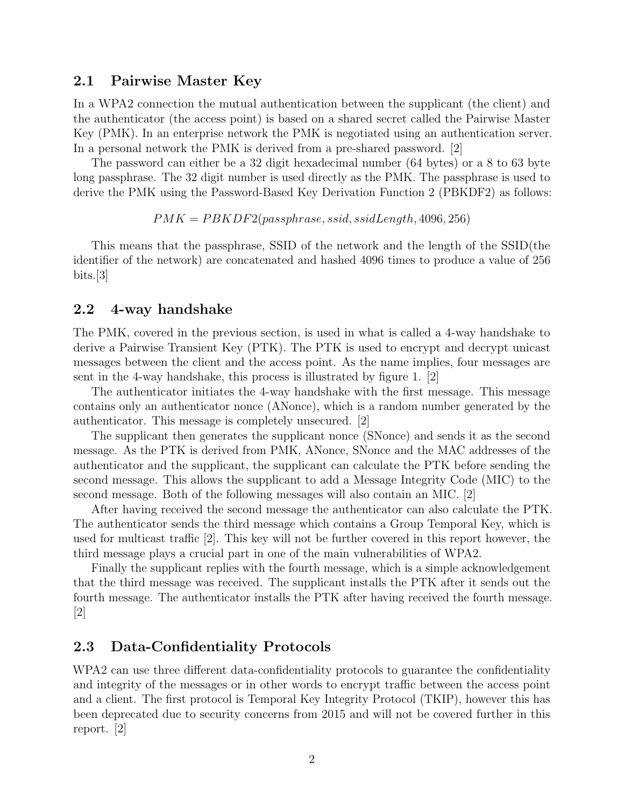#### 2.1 Pairwise Master Key

In a WPA2 connection the mutual authentication between the supplicant (the client) and the authenticator (the access point) is based on a shared secret called the Pairwise Master Key (PMK). In an enterprise network the PMK is negotiated using an authentication server. In a personal network the PMK is derived from a pre-shared password. [2]

The password can either be a 32 digit hexadecimal number (64 bytes) or a 8 to 63 byte long passphrase. The 32 digit number is used directly as the PMK. The passphrase is used to derive the PMK using the Password-Based Key Derivation Function 2 (PBKDF2) as follows:

 $PMK = PBKDF2(passphrase, ssid, ssidLength, 4096, 256)$ 

This means that the passphrase, SSID of the network and the length of the SSID(the identifier of the network) are concatenated and hashed 4096 times to produce a value of 256 bits.[3]

#### 2.2 4-way handshake

The PMK, covered in the previous section, is used in what is called a 4-way handshake to derive a Pairwise Transient Key (PTK). The PTK is used to encrypt and decrypt unicast messages between the client and the access point. As the name implies, four messages are sent in the 4-way handshake, this process is illustrated by figure 1. [2]

The authenticator initiates the 4-way handshake with the first message. This message contains only an authenticator nonce (ANonce), which is a random number generated by the authenticator. This message is completely unsecured. [2]

The supplicant then generates the supplicant nonce (SNonce) and sends it as the second message. As the PTK is derived from PMK, ANonce, SNonce and the MAC addresses of the authenticator and the supplicant, the supplicant can calculate the PTK before sending the second message. This allows the supplicant to add a Message Integrity Code (MIC) to the second message. Both of the following messages will also contain an MIC. [2]

After having received the second message the authenticator can also calculate the PTK. The authenticator sends the third message which contains a Group Temporal Key, which is used for multicast traffic [2]. This key will not be further covered in this report however, the third message plays a crucial part in one of the main vulnerabilities of WPA2.

Finally the supplicant replies with the fourth message, which is a simple acknowledgement that the third message was received. The supplicant installs the PTK after it sends out the fourth message. The authenticator installs the PTK after having received the fourth message.  $|2|$ 

#### 2.3 Data-Confidentiality Protocols

WPA2 can use three different data-confidentiality protocols to guarantee the confidentiality and integrity of the messages or in other words to encrypt traffic between the access point and a client. The first protocol is Temporal Key Integrity Protocol (TKIP), however this has been deprecated due to security concerns from 2015 and will not be covered further in this report. [2]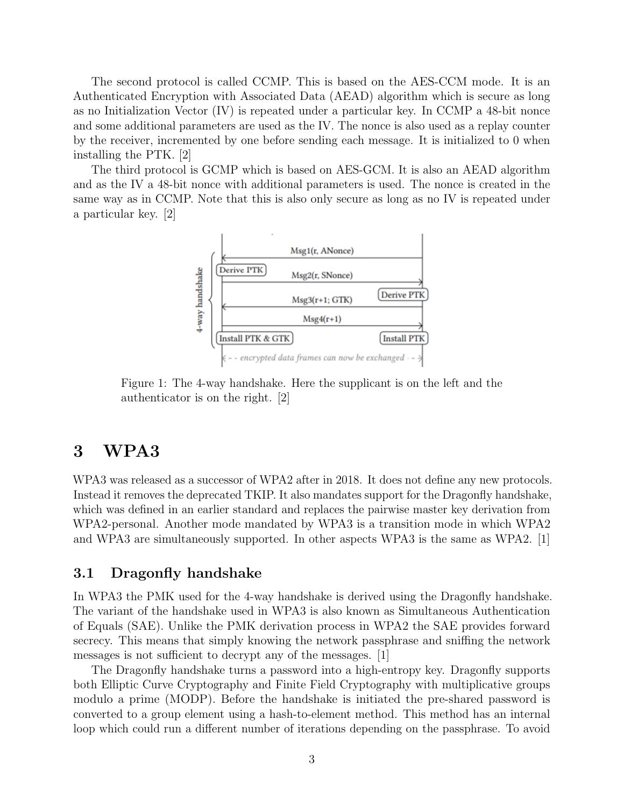The second protocol is called CCMP. This is based on the AES-CCM mode. It is an Authenticated Encryption with Associated Data (AEAD) algorithm which is secure as long as no Initialization Vector (IV) is repeated under a particular key. In CCMP a 48-bit nonce and some additional parameters are used as the IV. The nonce is also used as a replay counter by the receiver, incremented by one before sending each message. It is initialized to 0 when installing the PTK. [2]

The third protocol is GCMP which is based on AES-GCM. It is also an AEAD algorithm and as the IV a 48-bit nonce with additional parameters is used. The nonce is created in the same way as in CCMP. Note that this is also only secure as long as no IV is repeated under a particular key. [2]



Figure 1: The 4-way handshake. Here the supplicant is on the left and the authenticator is on the right. [2]

### 3 WPA3

WPA3 was released as a successor of WPA2 after in 2018. It does not define any new protocols. Instead it removes the deprecated TKIP. It also mandates support for the Dragonfly handshake, which was defined in an earlier standard and replaces the pairwise master key derivation from WPA2-personal. Another mode mandated by WPA3 is a transition mode in which WPA2 and WPA3 are simultaneously supported. In other aspects WPA3 is the same as WPA2. [1]

#### 3.1 Dragonfly handshake

In WPA3 the PMK used for the 4-way handshake is derived using the Dragonfly handshake. The variant of the handshake used in WPA3 is also known as Simultaneous Authentication of Equals (SAE). Unlike the PMK derivation process in WPA2 the SAE provides forward secrecy. This means that simply knowing the network passphrase and sniffing the network messages is not sufficient to decrypt any of the messages. [1]

The Dragonfly handshake turns a password into a high-entropy key. Dragonfly supports both Elliptic Curve Cryptography and Finite Field Cryptography with multiplicative groups modulo a prime (MODP). Before the handshake is initiated the pre-shared password is converted to a group element using a hash-to-element method. This method has an internal loop which could run a different number of iterations depending on the passphrase. To avoid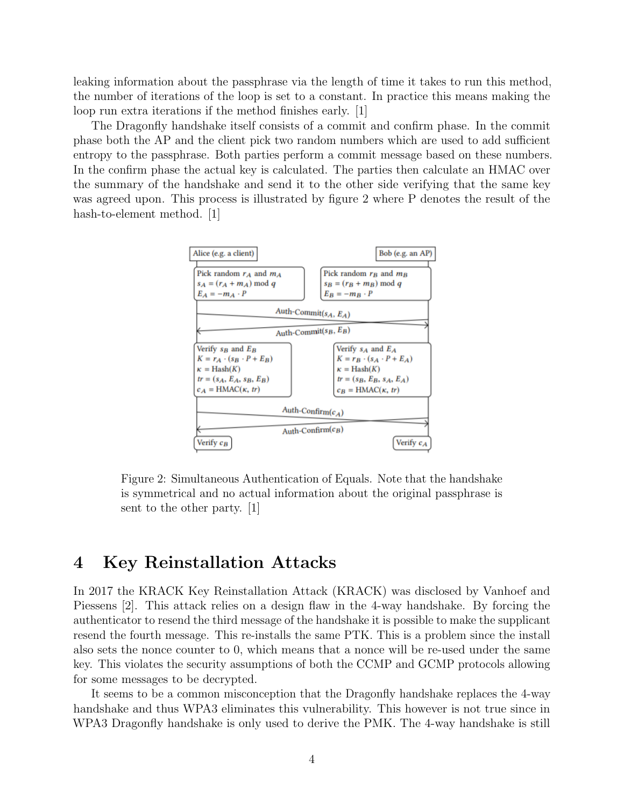leaking information about the passphrase via the length of time it takes to run this method, the number of iterations of the loop is set to a constant. In practice this means making the loop run extra iterations if the method finishes early. [1]

The Dragonfly handshake itself consists of a commit and confirm phase. In the commit phase both the AP and the client pick two random numbers which are used to add sufficient entropy to the passphrase. Both parties perform a commit message based on these numbers. In the confirm phase the actual key is calculated. The parties then calculate an HMAC over the summary of the handshake and send it to the other side verifying that the same key was agreed upon. This process is illustrated by figure 2 where P denotes the result of the hash-to-element method. [1]



Figure 2: Simultaneous Authentication of Equals. Note that the handshake is symmetrical and no actual information about the original passphrase is sent to the other party. [1]

### 4 Key Reinstallation Attacks

In 2017 the KRACK Key Reinstallation Attack (KRACK) was disclosed by Vanhoef and Piessens [2]. This attack relies on a design flaw in the 4-way handshake. By forcing the authenticator to resend the third message of the handshake it is possible to make the supplicant resend the fourth message. This re-installs the same PTK. This is a problem since the install also sets the nonce counter to 0, which means that a nonce will be re-used under the same key. This violates the security assumptions of both the CCMP and GCMP protocols allowing for some messages to be decrypted.

It seems to be a common misconception that the Dragonfly handshake replaces the 4-way handshake and thus WPA3 eliminates this vulnerability. This however is not true since in WPA3 Dragonfly handshake is only used to derive the PMK. The 4-way handshake is still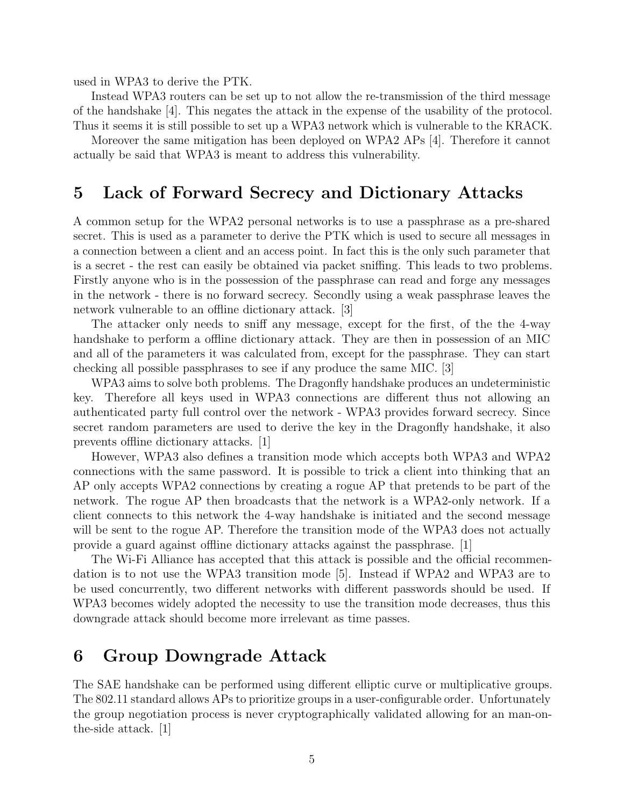used in WPA3 to derive the PTK.

Instead WPA3 routers can be set up to not allow the re-transmission of the third message of the handshake [4]. This negates the attack in the expense of the usability of the protocol. Thus it seems it is still possible to set up a WPA3 network which is vulnerable to the KRACK.

Moreover the same mitigation has been deployed on WPA2 APs [4]. Therefore it cannot actually be said that WPA3 is meant to address this vulnerability.

### 5 Lack of Forward Secrecy and Dictionary Attacks

A common setup for the WPA2 personal networks is to use a passphrase as a pre-shared secret. This is used as a parameter to derive the PTK which is used to secure all messages in a connection between a client and an access point. In fact this is the only such parameter that is a secret - the rest can easily be obtained via packet sniffing. This leads to two problems. Firstly anyone who is in the possession of the passphrase can read and forge any messages in the network - there is no forward secrecy. Secondly using a weak passphrase leaves the network vulnerable to an offline dictionary attack. [3]

The attacker only needs to sniff any message, except for the first, of the the 4-way handshake to perform a offline dictionary attack. They are then in possession of an MIC and all of the parameters it was calculated from, except for the passphrase. They can start checking all possible passphrases to see if any produce the same MIC. [3]

WPA3 aims to solve both problems. The Dragonfly handshake produces an undeterministic key. Therefore all keys used in WPA3 connections are different thus not allowing an authenticated party full control over the network - WPA3 provides forward secrecy. Since secret random parameters are used to derive the key in the Dragonfly handshake, it also prevents offline dictionary attacks. [1]

However, WPA3 also defines a transition mode which accepts both WPA3 and WPA2 connections with the same password. It is possible to trick a client into thinking that an AP only accepts WPA2 connections by creating a rogue AP that pretends to be part of the network. The rogue AP then broadcasts that the network is a WPA2-only network. If a client connects to this network the 4-way handshake is initiated and the second message will be sent to the rogue AP. Therefore the transition mode of the WPA3 does not actually provide a guard against offline dictionary attacks against the passphrase. [1]

The Wi-Fi Alliance has accepted that this attack is possible and the official recommendation is to not use the WPA3 transition mode [5]. Instead if WPA2 and WPA3 are to be used concurrently, two different networks with different passwords should be used. If WPA3 becomes widely adopted the necessity to use the transition mode decreases, thus this downgrade attack should become more irrelevant as time passes.

# 6 Group Downgrade Attack

The SAE handshake can be performed using different elliptic curve or multiplicative groups. The 802.11 standard allows APs to prioritize groups in a user-configurable order. Unfortunately the group negotiation process is never cryptographically validated allowing for an man-onthe-side attack. [1]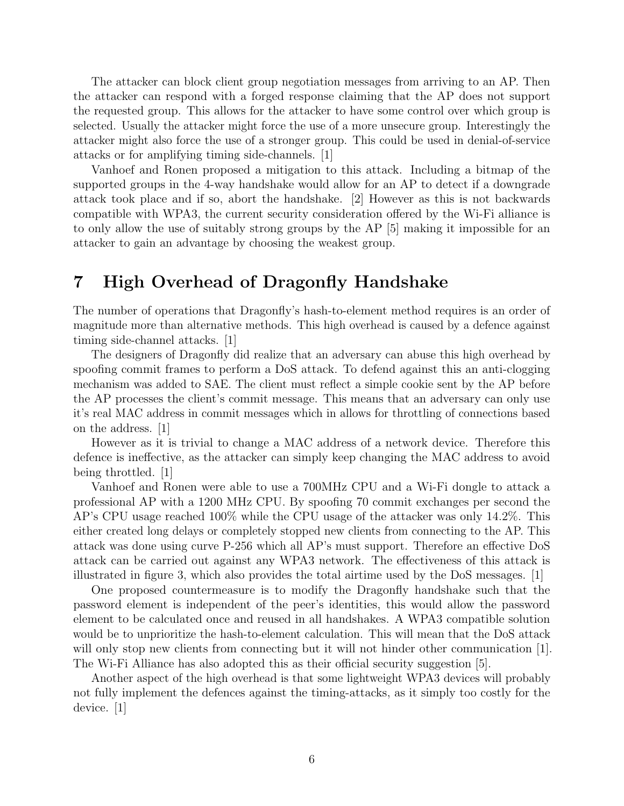The attacker can block client group negotiation messages from arriving to an AP. Then the attacker can respond with a forged response claiming that the AP does not support the requested group. This allows for the attacker to have some control over which group is selected. Usually the attacker might force the use of a more unsecure group. Interestingly the attacker might also force the use of a stronger group. This could be used in denial-of-service attacks or for amplifying timing side-channels. [1]

Vanhoef and Ronen proposed a mitigation to this attack. Including a bitmap of the supported groups in the 4-way handshake would allow for an AP to detect if a downgrade attack took place and if so, abort the handshake. [2] However as this is not backwards compatible with WPA3, the current security consideration offered by the Wi-Fi alliance is to only allow the use of suitably strong groups by the AP [5] making it impossible for an attacker to gain an advantage by choosing the weakest group.

# 7 High Overhead of Dragonfly Handshake

The number of operations that Dragonfly's hash-to-element method requires is an order of magnitude more than alternative methods. This high overhead is caused by a defence against timing side-channel attacks. [1]

The designers of Dragonfly did realize that an adversary can abuse this high overhead by spoofing commit frames to perform a DoS attack. To defend against this an anti-clogging mechanism was added to SAE. The client must reflect a simple cookie sent by the AP before the AP processes the client's commit message. This means that an adversary can only use it's real MAC address in commit messages which in allows for throttling of connections based on the address. [1]

However as it is trivial to change a MAC address of a network device. Therefore this defence is ineffective, as the attacker can simply keep changing the MAC address to avoid being throttled. [1]

Vanhoef and Ronen were able to use a 700MHz CPU and a Wi-Fi dongle to attack a professional AP with a 1200 MHz CPU. By spoofing 70 commit exchanges per second the AP's CPU usage reached 100% while the CPU usage of the attacker was only 14.2%. This either created long delays or completely stopped new clients from connecting to the AP. This attack was done using curve P-256 which all AP's must support. Therefore an effective DoS attack can be carried out against any WPA3 network. The effectiveness of this attack is illustrated in figure 3, which also provides the total airtime used by the DoS messages. [1]

One proposed countermeasure is to modify the Dragonfly handshake such that the password element is independent of the peer's identities, this would allow the password element to be calculated once and reused in all handshakes. A WPA3 compatible solution would be to unprioritize the hash-to-element calculation. This will mean that the DoS attack will only stop new clients from connecting but it will not hinder other communication [1]. The Wi-Fi Alliance has also adopted this as their official security suggestion [5].

Another aspect of the high overhead is that some lightweight WPA3 devices will probably not fully implement the defences against the timing-attacks, as it simply too costly for the device. [1]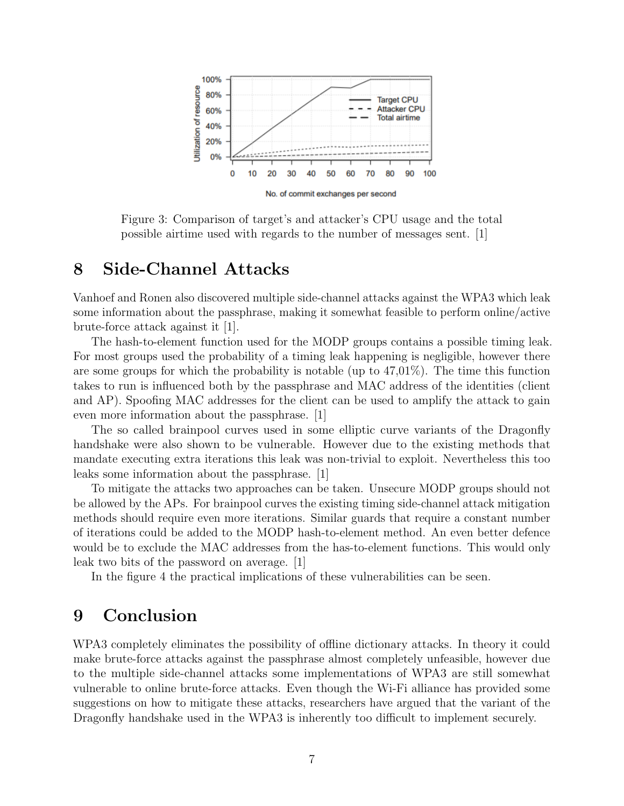

Figure 3: Comparison of target's and attacker's CPU usage and the total possible airtime used with regards to the number of messages sent. [1]

# 8 Side-Channel Attacks

Vanhoef and Ronen also discovered multiple side-channel attacks against the WPA3 which leak some information about the passphrase, making it somewhat feasible to perform online/active brute-force attack against it [1].

The hash-to-element function used for the MODP groups contains a possible timing leak. For most groups used the probability of a timing leak happening is negligible, however there are some groups for which the probability is notable (up to  $47,01\%$ ). The time this function takes to run is influenced both by the passphrase and MAC address of the identities (client and AP). Spoofing MAC addresses for the client can be used to amplify the attack to gain even more information about the passphrase. [1]

The so called brainpool curves used in some elliptic curve variants of the Dragonfly handshake were also shown to be vulnerable. However due to the existing methods that mandate executing extra iterations this leak was non-trivial to exploit. Nevertheless this too leaks some information about the passphrase. [1]

To mitigate the attacks two approaches can be taken. Unsecure MODP groups should not be allowed by the APs. For brainpool curves the existing timing side-channel attack mitigation methods should require even more iterations. Similar guards that require a constant number of iterations could be added to the MODP hash-to-element method. An even better defence would be to exclude the MAC addresses from the has-to-element functions. This would only leak two bits of the password on average. [1]

In the figure 4 the practical implications of these vulnerabilities can be seen.

### 9 Conclusion

WPA3 completely eliminates the possibility of offline dictionary attacks. In theory it could make brute-force attacks against the passphrase almost completely unfeasible, however due to the multiple side-channel attacks some implementations of WPA3 are still somewhat vulnerable to online brute-force attacks. Even though the Wi-Fi alliance has provided some suggestions on how to mitigate these attacks, researchers have argued that the variant of the Dragonfly handshake used in the WPA3 is inherently too difficult to implement securely.